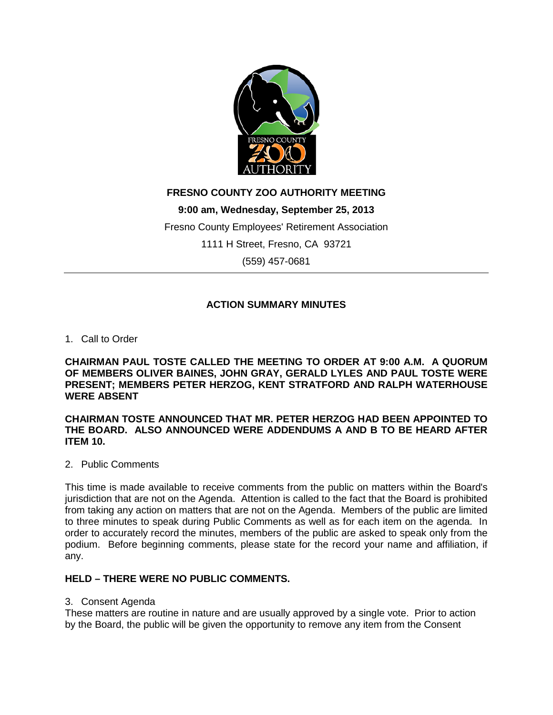

# **FRESNO COUNTY ZOO AUTHORITY MEETING**

**9:00 am, Wednesday, September 25, 2013**

Fresno County Employees' Retirement Association

1111 H Street, Fresno, CA 93721

(559) 457-0681

# **ACTION SUMMARY MINUTES**

## 1. Call to Order

**CHAIRMAN PAUL TOSTE CALLED THE MEETING TO ORDER AT 9:00 A.M. A QUORUM OF MEMBERS OLIVER BAINES, JOHN GRAY, GERALD LYLES AND PAUL TOSTE WERE PRESENT; MEMBERS PETER HERZOG, KENT STRATFORD AND RALPH WATERHOUSE WERE ABSENT**

### **CHAIRMAN TOSTE ANNOUNCED THAT MR. PETER HERZOG HAD BEEN APPOINTED TO THE BOARD. ALSO ANNOUNCED WERE ADDENDUMS A AND B TO BE HEARD AFTER ITEM 10.**

## 2. Public Comments

This time is made available to receive comments from the public on matters within the Board's jurisdiction that are not on the Agenda. Attention is called to the fact that the Board is prohibited from taking any action on matters that are not on the Agenda. Members of the public are limited to three minutes to speak during Public Comments as well as for each item on the agenda. In order to accurately record the minutes, members of the public are asked to speak only from the podium. Before beginning comments, please state for the record your name and affiliation, if any.

# **HELD – THERE WERE NO PUBLIC COMMENTS.**

## 3. Consent Agenda

These matters are routine in nature and are usually approved by a single vote. Prior to action by the Board, the public will be given the opportunity to remove any item from the Consent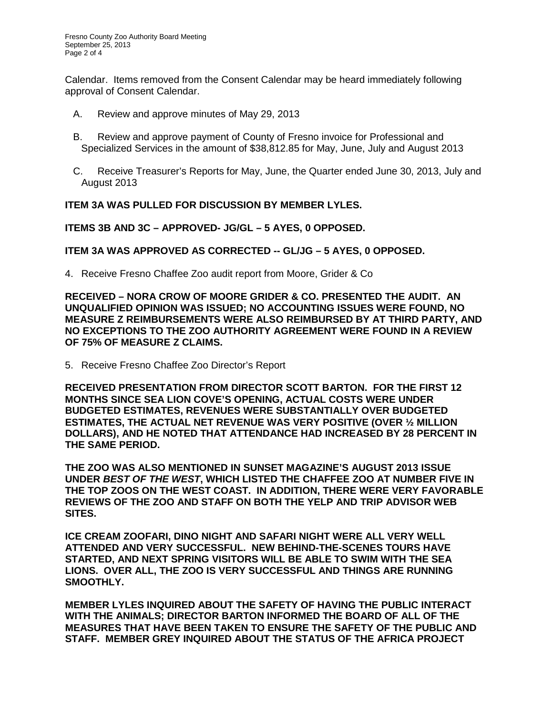Calendar. Items removed from the Consent Calendar may be heard immediately following approval of Consent Calendar.

- A. Review and approve minutes of May 29, 2013
- B. Review and approve payment of County of Fresno invoice for Professional and Specialized Services in the amount of \$38,812.85 for May, June, July and August 2013
- C. Receive Treasurer's Reports for May, June, the Quarter ended June 30, 2013, July and August 2013

### **ITEM 3A WAS PULLED FOR DISCUSSION BY MEMBER LYLES.**

**ITEMS 3B AND 3C – APPROVED- JG/GL – 5 AYES, 0 OPPOSED.**

## **ITEM 3A WAS APPROVED AS CORRECTED -- GL/JG – 5 AYES, 0 OPPOSED.**

4. Receive Fresno Chaffee Zoo audit report from Moore, Grider & Co

**RECEIVED – NORA CROW OF MOORE GRIDER & CO. PRESENTED THE AUDIT. AN UNQUALIFIED OPINION WAS ISSUED; NO ACCOUNTING ISSUES WERE FOUND, NO MEASURE Z REIMBURSEMENTS WERE ALSO REIMBURSED BY AT THIRD PARTY, AND NO EXCEPTIONS TO THE ZOO AUTHORITY AGREEMENT WERE FOUND IN A REVIEW OF 75% OF MEASURE Z CLAIMS.**

5. Receive Fresno Chaffee Zoo Director's Report

**RECEIVED PRESENTATION FROM DIRECTOR SCOTT BARTON. FOR THE FIRST 12 MONTHS SINCE SEA LION COVE'S OPENING, ACTUAL COSTS WERE UNDER BUDGETED ESTIMATES, REVENUES WERE SUBSTANTIALLY OVER BUDGETED ESTIMATES, THE ACTUAL NET REVENUE WAS VERY POSITIVE (OVER ½ MILLION DOLLARS), AND HE NOTED THAT ATTENDANCE HAD INCREASED BY 28 PERCENT IN THE SAME PERIOD.** 

**THE ZOO WAS ALSO MENTIONED IN SUNSET MAGAZINE'S AUGUST 2013 ISSUE UNDER** *BEST OF THE WEST***, WHICH LISTED THE CHAFFEE ZOO AT NUMBER FIVE IN THE TOP ZOOS ON THE WEST COAST. IN ADDITION, THERE WERE VERY FAVORABLE REVIEWS OF THE ZOO AND STAFF ON BOTH THE YELP AND TRIP ADVISOR WEB SITES.**

**ICE CREAM ZOOFARI, DINO NIGHT AND SAFARI NIGHT WERE ALL VERY WELL ATTENDED AND VERY SUCCESSFUL. NEW BEHIND-THE-SCENES TOURS HAVE STARTED, AND NEXT SPRING VISITORS WILL BE ABLE TO SWIM WITH THE SEA LIONS. OVER ALL, THE ZOO IS VERY SUCCESSFUL AND THINGS ARE RUNNING SMOOTHLY.**

**MEMBER LYLES INQUIRED ABOUT THE SAFETY OF HAVING THE PUBLIC INTERACT WITH THE ANIMALS; DIRECTOR BARTON INFORMED THE BOARD OF ALL OF THE MEASURES THAT HAVE BEEN TAKEN TO ENSURE THE SAFETY OF THE PUBLIC AND STAFF. MEMBER GREY INQUIRED ABOUT THE STATUS OF THE AFRICA PROJECT**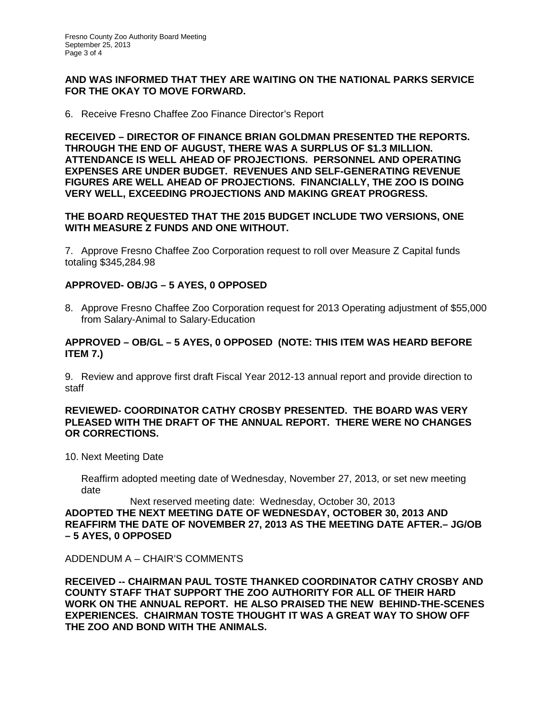### **AND WAS INFORMED THAT THEY ARE WAITING ON THE NATIONAL PARKS SERVICE FOR THE OKAY TO MOVE FORWARD.**

6. Receive Fresno Chaffee Zoo Finance Director's Report

**RECEIVED – DIRECTOR OF FINANCE BRIAN GOLDMAN PRESENTED THE REPORTS. THROUGH THE END OF AUGUST, THERE WAS A SURPLUS OF \$1.3 MILLION. ATTENDANCE IS WELL AHEAD OF PROJECTIONS. PERSONNEL AND OPERATING EXPENSES ARE UNDER BUDGET. REVENUES AND SELF-GENERATING REVENUE FIGURES ARE WELL AHEAD OF PROJECTIONS. FINANCIALLY, THE ZOO IS DOING VERY WELL, EXCEEDING PROJECTIONS AND MAKING GREAT PROGRESS.**

## **THE BOARD REQUESTED THAT THE 2015 BUDGET INCLUDE TWO VERSIONS, ONE WITH MEASURE Z FUNDS AND ONE WITHOUT.**

7. Approve Fresno Chaffee Zoo Corporation request to roll over Measure Z Capital funds totaling \$345,284.98

## **APPROVED- OB/JG – 5 AYES, 0 OPPOSED**

8. Approve Fresno Chaffee Zoo Corporation request for 2013 Operating adjustment of \$55,000 from Salary-Animal to Salary-Education

## **APPROVED – OB/GL – 5 AYES, 0 OPPOSED (NOTE: THIS ITEM WAS HEARD BEFORE ITEM 7.)**

9. Review and approve first draft Fiscal Year 2012-13 annual report and provide direction to staff

### **REVIEWED- COORDINATOR CATHY CROSBY PRESENTED. THE BOARD WAS VERY PLEASED WITH THE DRAFT OF THE ANNUAL REPORT. THERE WERE NO CHANGES OR CORRECTIONS.**

10. Next Meeting Date

Reaffirm adopted meeting date of Wednesday, November 27, 2013, or set new meeting date

Next reserved meeting date: Wednesday, October 30, 2013 **ADOPTED THE NEXT MEETING DATE OF WEDNESDAY, OCTOBER 30, 2013 AND REAFFIRM THE DATE OF NOVEMBER 27, 2013 AS THE MEETING DATE AFTER.– JG/OB – 5 AYES, 0 OPPOSED**

ADDENDUM A – CHAIR'S COMMENTS

**RECEIVED -- CHAIRMAN PAUL TOSTE THANKED COORDINATOR CATHY CROSBY AND COUNTY STAFF THAT SUPPORT THE ZOO AUTHORITY FOR ALL OF THEIR HARD WORK ON THE ANNUAL REPORT. HE ALSO PRAISED THE NEW BEHIND-THE-SCENES EXPERIENCES. CHAIRMAN TOSTE THOUGHT IT WAS A GREAT WAY TO SHOW OFF THE ZOO AND BOND WITH THE ANIMALS.**